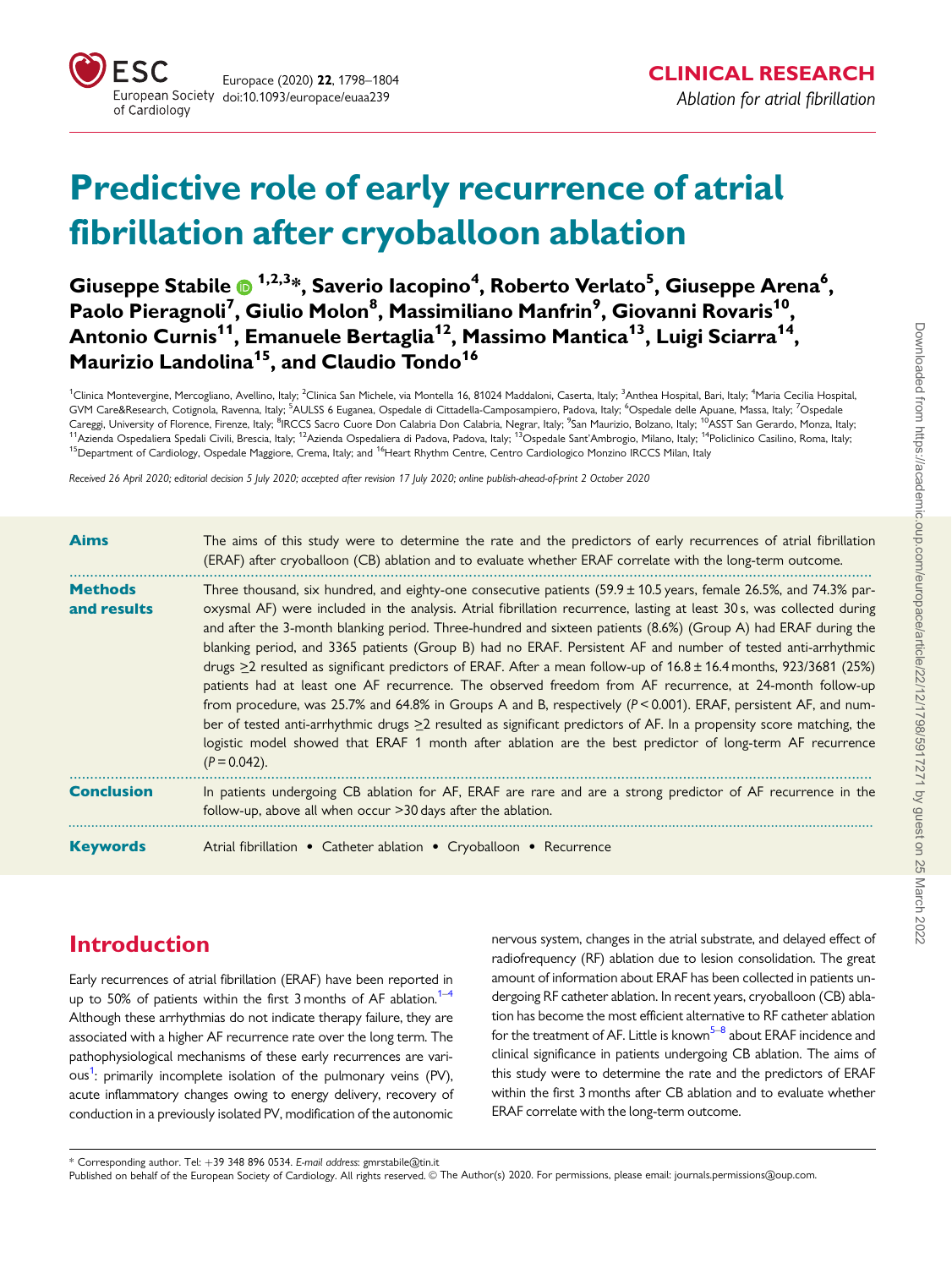<span id="page-0-0"></span>

# Predictive role of early recurrence of atrial fibrillation after cryoballoon ablation

Giuseppe Stabile ��  $^{1,2,3}$ \*, Saverio Iacopino $^4$ , Roberto Verlato $^5$ , Giuseppe Arena $^6$ , Paolo Pieragnoli<sup>7</sup>, Giulio Molon<sup>8</sup>, Massimiliano Manfrin<sup>9</sup>, Giovanni Rovaris<sup>10</sup>, Antonio Curnis<sup>11</sup>, Emanuele Bertaglia<sup>12</sup>, Massimo Mantica<sup>13</sup>, Luigi Sciarra<sup>14</sup>, Maurizio Landolina<sup>15</sup>, and Claudio Tondo<sup>16</sup>

<sup>1</sup>Clinica Montevergine, Mercogliano, Avellino, Italy; <sup>2</sup>Clinica San Michele, via Montella 16, 81024 Maddaloni, Caserta, Italy; <sup>3</sup>Anthea Hospital, Bari, Italy; <sup>4</sup>Maria Cecilia Hospital GVM Care&Research, Cotignola, Ravenna, Italy; <sup>5</sup>AULSS 6 Euganea, Ospedale di Cittadella-Camposampiero, Padova, Italy; <sup>6</sup>Ospedale delle Apuane, Massa, Italy; <sup>7</sup>Ospedale Careggi, University of Florence, Firenze, Italy; <sup>8</sup>IRCCS Sacro Cuore Don Calabria Don Calabria, Negrar, Italy; <sup>8</sup>San Maurizio, Bolzano, Italy; <sup>10</sup>ASST San Gerardo, Monza, Italy; <sup>11</sup>Azienda Ospedaliera Spedali Civili, Brescia, Italy; <sup>12</sup>Azienda Ospedaliera di Padova, Padova, Italy; <sup>13</sup>Ospedale Sant'Ambrogio, Milano, Italy; <sup>14</sup>Policlinico Casilino, Roma, Italy; <sup>15</sup>Department of Cardiology, Ospedale Maggiore, Crema, Italy; and <sup>16</sup>Heart Rhythm Centre, Centro Cardiologico Monzino IRCCS Milan, Italy

Received 26 April 2020; editorial decision 5 July 2020; accepted after revision 17 July 2020; online publish-ahead-of-print 2 October 2020

| <b>Aims</b>                   | The aims of this study were to determine the rate and the predictors of early recurrences of atrial fibrillation<br>(ERAF) after cryoballoon (CB) ablation and to evaluate whether ERAF correlate with the long-term outcome.                                                                                                                                                                                                                                                                                                                                                                                                                                                                                                                                                                                                                                                                                                                                                                                                                                                                                  |
|-------------------------------|----------------------------------------------------------------------------------------------------------------------------------------------------------------------------------------------------------------------------------------------------------------------------------------------------------------------------------------------------------------------------------------------------------------------------------------------------------------------------------------------------------------------------------------------------------------------------------------------------------------------------------------------------------------------------------------------------------------------------------------------------------------------------------------------------------------------------------------------------------------------------------------------------------------------------------------------------------------------------------------------------------------------------------------------------------------------------------------------------------------|
| <b>Methods</b><br>and results | Three thousand, six hundred, and eighty-one consecutive patients $(59.9 \pm 10.5$ years, female 26.5%, and 74.3% par-<br>oxysmal AF) were included in the analysis. Atrial fibrillation recurrence, lasting at least 30 s, was collected during<br>and after the 3-month blanking period. Three-hundred and sixteen patients (8.6%) (Group A) had ERAF during the<br>blanking period, and 3365 patients (Group B) had no ERAF. Persistent AF and number of tested anti-arrhythmic<br>drugs $\geq$ 2 resulted as significant predictors of ERAF. After a mean follow-up of $16.8 \pm 16.4$ months, 923/3681 (25%)<br>patients had at least one AF recurrence. The observed freedom from AF recurrence, at 24-month follow-up<br>from procedure, was 25.7% and 64.8% in Groups A and B, respectively ( $P < 0.001$ ). ERAF, persistent AF, and num-<br>ber of tested anti-arrhythmic drugs $\geq 2$ resulted as significant predictors of AF. In a propensity score matching, the<br>logistic model showed that ERAF 1 month after ablation are the best predictor of long-term AF recurrence<br>$(P = 0.042)$ . |
| <b>Conclusion</b>             | In patients undergoing CB ablation for AF, ERAF are rare and are a strong predictor of AF recurrence in the<br>follow-up, above all when occur > 30 days after the ablation.                                                                                                                                                                                                                                                                                                                                                                                                                                                                                                                                                                                                                                                                                                                                                                                                                                                                                                                                   |
| <b>Keywords</b>               | Atrial fibrillation • Catheter ablation • Cryoballoon • Recurrence                                                                                                                                                                                                                                                                                                                                                                                                                                                                                                                                                                                                                                                                                                                                                                                                                                                                                                                                                                                                                                             |

### Introduction

Early recurrences of atrial fibrillation (ERAF) have been reported in up to 50% of patients within the first 3 months of AF ablation.<sup>[1–4](#page-6-0)</sup> Although these arrhythmias do not indicate therapy failure, they are associated with a higher AF recurrence rate over the long term. The pathophysiological mechanisms of these early recurrences are vari-ous<sup>[1](#page-6-0)</sup>: primarily incomplete isolation of the pulmonary veins (PV), acute inflammatory changes owing to energy delivery, recovery of conduction in a previously isolated PV, modification of the autonomic nervous system, changes in the atrial substrate, and delayed effect of radiofrequency (RF) ablation due to lesion consolidation. The great amount of information about ERAF has been collected in patients undergoing RF catheter ablation. In recent years, cryoballoon (CB) ablation has become the most efficient alternative to RF catheter ablation for the treatment of AF. Little is known<sup>5–8</sup> about ERAF incidence and clinical significance in patients undergoing CB ablation. The aims of this study were to determine the rate and the predictors of ERAF within the first 3 months after CB ablation and to evaluate whether ERAF correlate with the long-term outcome.

\* Corresponding author. Tel: +39 348 896 0534. E-mail address: gmrstabile@tin.it

Published on behalf of the European Society of Cardiology. All rights reserved. © The Author(s) 2020. For permissions, please email: journals.permissions@oup.com.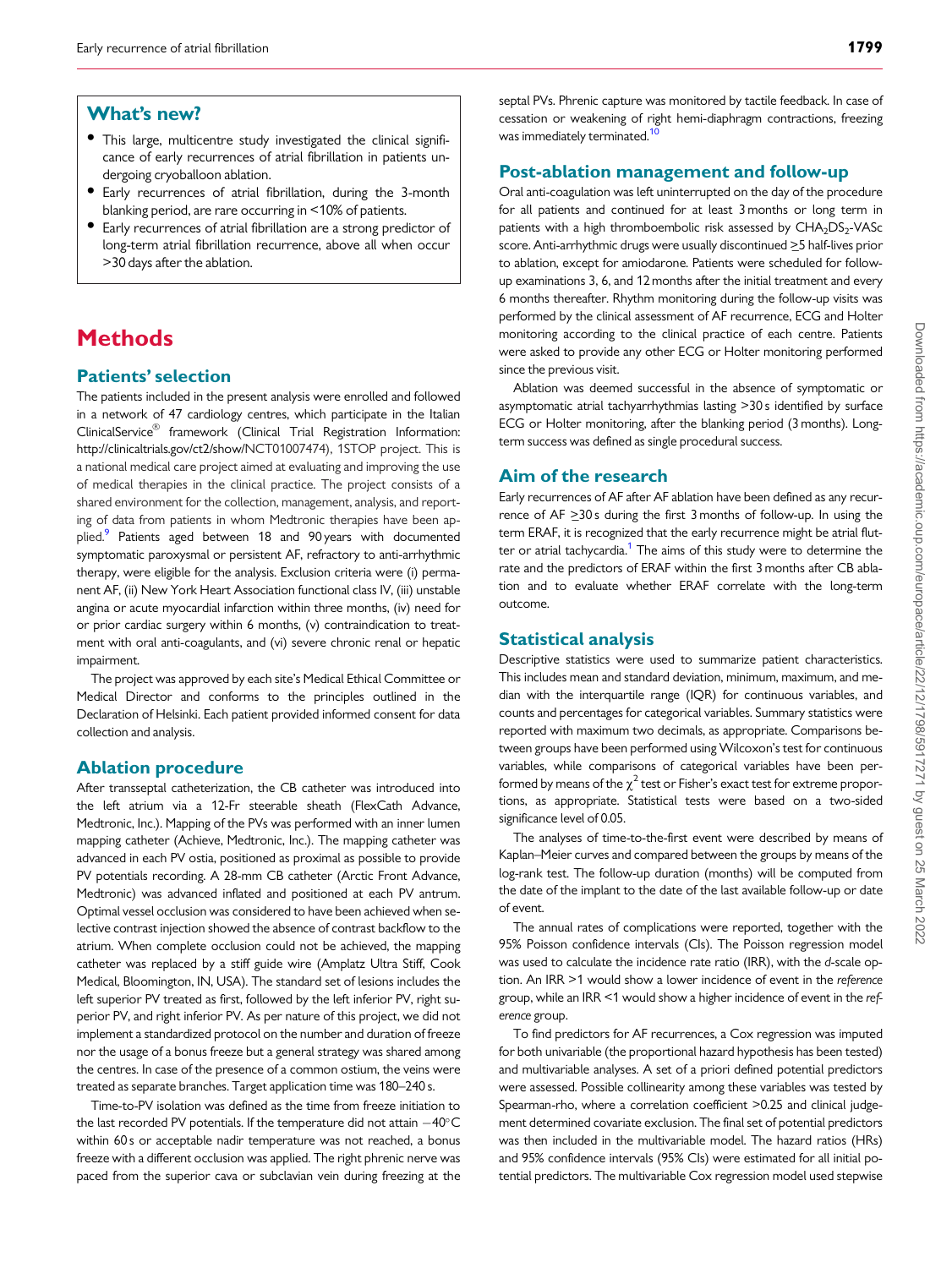### <span id="page-1-0"></span>What's new?

- This large, multicentre study investigated the clinical significance of early recurrences of atrial fibrillation in patients undergoing cryoballoon ablation.
- Early recurrences of atrial fibrillation, during the 3-month blanking period, are rare occurring in <10% of patients.
- Early recurrences of atrial fibrillation are a strong predictor of long-term atrial fibrillation recurrence, above all when occur >30 days after the ablation.

## **Methods**

### Patients' selection

The patients included in the present analysis were enrolled and followed in a network of 47 cardiology centres, which participate in the Italian ClinicalService<sup>®</sup> framework (Clinical Trial Registration Information: <http://clinicaltrials.gov/ct2/show/>NCT01007474), 1STOP project. This is a national medical care project aimed at evaluating and improving the use of medical therapies in the clinical practice. The project consists of a shared environment for the collection, management, analysis, and reporting of data from patients in whom Medtronic therapies have been applied.<sup>9</sup> Patients aged between 18 and 90 years with documented symptomatic paroxysmal or persistent AF, refractory to anti-arrhythmic therapy, were eligible for the analysis. Exclusion criteria were (i) permanent AF, (ii) New York Heart Association functional class IV, (iii) unstable angina or acute myocardial infarction within three months, (iv) need for or prior cardiac surgery within 6 months, (v) contraindication to treatment with oral anti-coagulants, and (vi) severe chronic renal or hepatic impairment.

The project was approved by each site's Medical Ethical Committee or Medical Director and conforms to the principles outlined in the Declaration of Helsinki. Each patient provided informed consent for data collection and analysis.

#### Ablation procedure

After transseptal catheterization, the CB catheter was introduced into the left atrium via a 12-Fr steerable sheath (FlexCath Advance, Medtronic, Inc.). Mapping of the PVs was performed with an inner lumen mapping catheter (Achieve, Medtronic, Inc.). The mapping catheter was advanced in each PV ostia, positioned as proximal as possible to provide PV potentials recording. A 28-mm CB catheter (Arctic Front Advance, Medtronic) was advanced inflated and positioned at each PV antrum. Optimal vessel occlusion was considered to have been achieved when selective contrast injection showed the absence of contrast backflow to the atrium. When complete occlusion could not be achieved, the mapping catheter was replaced by a stiff guide wire (Amplatz Ultra Stiff, Cook Medical, Bloomington, IN, USA). The standard set of lesions includes the left superior PV treated as first, followed by the left inferior PV, right superior PV, and right inferior PV. As per nature of this project, we did not implement a standardized protocol on the number and duration of freeze nor the usage of a bonus freeze but a general strategy was shared among the centres. In case of the presence of a common ostium, the veins were treated as separate branches. Target application time was 180–240 s.

Time-to-PV isolation was defined as the time from freeze initiation to the last recorded PV potentials. If the temperature did not attain  $-40^{\circ}$ C within 60 s or acceptable nadir temperature was not reached, a bonus freeze with a different occlusion was applied. The right phrenic nerve was paced from the superior cava or subclavian vein during freezing at the

septal PVs. Phrenic capture was monitored by tactile feedback. In case of cessation or weakening of right hemi-diaphragm contractions, freezing was immediately terminated.<sup>1</sup>

#### Post-ablation management and follow-up

Oral anti-coagulation was left uninterrupted on the day of the procedure for all patients and continued for at least 3 months or long term in patients with a high thromboembolic risk assessed by  $CHA<sub>2</sub>DS<sub>2</sub>-VASc$ score. Anti-arrhythmic drugs were usually discontinued  $\geq$ 5 half-lives prior to ablation, except for amiodarone. Patients were scheduled for followup examinations 3, 6, and 12 months after the initial treatment and every 6 months thereafter. Rhythm monitoring during the follow-up visits was performed by the clinical assessment of AF recurrence, ECG and Holter monitoring according to the clinical practice of each centre. Patients were asked to provide any other ECG or Holter monitoring performed since the previous visit.

Ablation was deemed successful in the absence of symptomatic or asymptomatic atrial tachyarrhythmias lasting >30 s identified by surface ECG or Holter monitoring, after the blanking period (3 months). Longterm success was defined as single procedural success.

### Aim of the research

Early recurrences of AF after AF ablation have been defined as any recurrence of  $AF \geq 30$  s during the first 3 months of follow-up. In using the term ERAF, it is recognized that the early recurrence might be atrial flut-ter or atrial tachycardia.<sup>[1](#page-6-0)</sup> The aims of this study were to determine the rate and the predictors of ERAF within the first 3 months after CB ablation and to evaluate whether ERAF correlate with the long-term outcome.

#### Statistical analysis

Descriptive statistics were used to summarize patient characteristics. This includes mean and standard deviation, minimum, maximum, and median with the interquartile range (IQR) for continuous variables, and counts and percentages for categorical variables. Summary statistics were reported with maximum two decimals, as appropriate. Comparisons between groups have been performed using Wilcoxon's test for continuous variables, while comparisons of categorical variables have been performed by means of the  $\chi^2$  test or Fisher's exact test for extreme proportions, as appropriate. Statistical tests were based on a two-sided significance level of 0.05.

The analyses of time-to-the-first event were described by means of Kaplan–Meier curves and compared between the groups by means of the log-rank test. The follow-up duration (months) will be computed from the date of the implant to the date of the last available follow-up or date of event.

The annual rates of complications were reported, together with the 95% Poisson confidence intervals (CIs). The Poisson regression model was used to calculate the incidence rate ratio (IRR), with the d-scale option. An IRR >1 would show a lower incidence of event in the reference group, while an IRR <1 would show a higher incidence of event in the reference group.

To find predictors for AF recurrences, a Cox regression was imputed for both univariable (the proportional hazard hypothesis has been tested) and multivariable analyses. A set of a priori defined potential predictors were assessed. Possible collinearity among these variables was tested by Spearman-rho, where a correlation coefficient >0.25 and clinical judgement determined covariate exclusion. The final set of potential predictors was then included in the multivariable model. The hazard ratios (HRs) and 95% confidence intervals (95% CIs) were estimated for all initial potential predictors. The multivariable Cox regression model used stepwise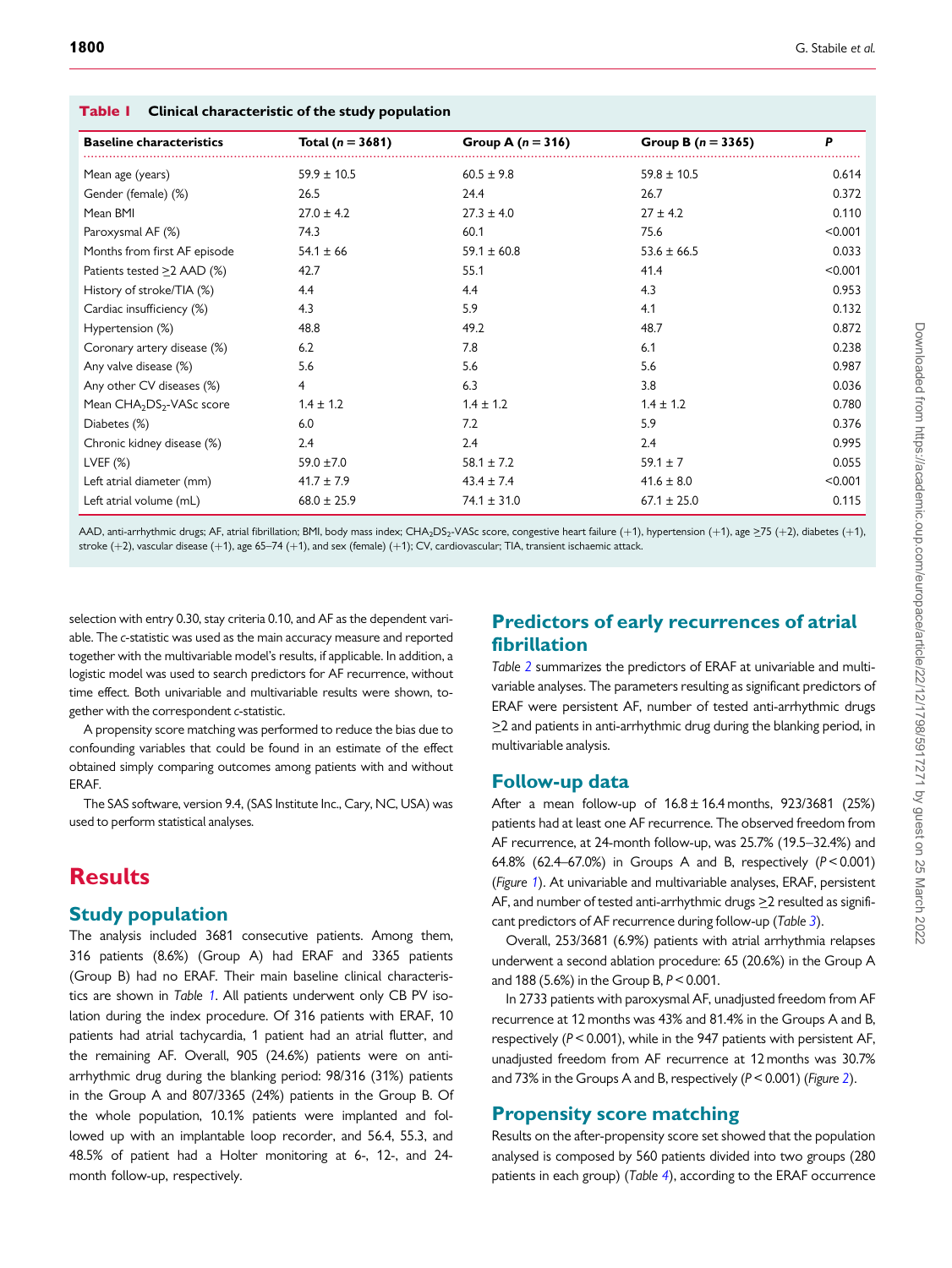#### Table 1 Clinical characteristic of the study population

| <b>Baseline characteristics</b>                   | Total $(n = 3681)$ | Group A $(n = 316)$ | Group B $(n = 3365)$ | P       |  |
|---------------------------------------------------|--------------------|---------------------|----------------------|---------|--|
| Mean age (years)                                  | $59.9 \pm 10.5$    | $60.5 \pm 9.8$      | $59.8 \pm 10.5$      | 0.614   |  |
| Gender (female) (%)                               | 26.5               | 24.4                | 26.7                 | 0.372   |  |
| Mean BMI                                          | $27.0 \pm 4.2$     | $27.3 \pm 4.0$      | $27 \pm 4.2$         | 0.110   |  |
| Paroxysmal AF (%)                                 | 74.3               | 60.1                | 75.6                 | < 0.001 |  |
| Months from first AF episode                      | $54.1 \pm 66$      | $59.1 \pm 60.8$     | $53.6 \pm 66.5$      | 0.033   |  |
| Patients tested $\geq$ AAD (%)                    | 42.7               | 55.1                | 41.4                 | < 0.001 |  |
| History of stroke/TIA (%)                         | 4.4                | 4.4                 | 4.3                  | 0.953   |  |
| Cardiac insufficiency (%)                         | 4.3                | 5.9                 | 4.1                  | 0.132   |  |
| Hypertension (%)                                  | 48.8               | 49.2                | 48.7                 | 0.872   |  |
| Coronary artery disease (%)                       | 6.2                | 7.8                 | 6.1                  | 0.238   |  |
| Any valve disease (%)                             | 5.6                | 5.6                 | 5.6                  | 0.987   |  |
| Any other CV diseases (%)                         | $\overline{4}$     | 6.3                 | 3.8                  | 0.036   |  |
| Mean CHA <sub>2</sub> DS <sub>2</sub> -VASc score | $1.4 \pm 1.2$      | $1.4 \pm 1.2$       | $1.4 \pm 1.2$        | 0.780   |  |
| Diabetes (%)                                      | 6.0                | 7.2                 | 5.9                  | 0.376   |  |
| Chronic kidney disease (%)                        | 2.4                | 2.4                 | 2.4                  | 0.995   |  |
| $LVEF$ $(\%)$                                     | $59.0 \pm 7.0$     | $58.1 \pm 7.2$      | $59.1 \pm 7$         | 0.055   |  |
| Left atrial diameter (mm)                         | $41.7 \pm 7.9$     | $43.4 \pm 7.4$      | $41.6 \pm 8.0$       | < 0.001 |  |
| Left atrial volume (mL)                           | $68.0 \pm 25.9$    | $74.1 \pm 31.0$     | $67.1 \pm 25.0$      | 0.115   |  |

AAD, anti-arrhythmic drugs; AF, atrial fibrillation; BMI, body mass index; CHA<sub>2</sub>DS<sub>2</sub>-VASc score, congestive heart failure (+1), hypertension (+1), age  $\geq$ 75 (+2), diabetes (+1), stroke  $(+2)$ , vascular disease  $(+1)$ , age 65–74  $(+1)$ , and sex (female)  $(+1)$ ; CV, cardiovascular; TIA, transient ischaemic attack.

selection with entry 0.30, stay criteria 0.10, and AF as the dependent variable. The c-statistic was used as the main accuracy measure and reported together with the multivariable model's results, if applicable. In addition, a logistic model was used to search predictors for AF recurrence, without time effect. Both univariable and multivariable results were shown, together with the correspondent c-statistic.

A propensity score matching was performed to reduce the bias due to confounding variables that could be found in an estimate of the effect obtained simply comparing outcomes among patients with and without ERAF.

The SAS software, version 9.4, (SAS Institute Inc., Cary, NC, USA) was used to perform statistical analyses.

### **Results**

### Study population

The analysis included 3681 consecutive patients. Among them, 316 patients (8.6%) (Group A) had ERAF and 3365 patients (Group B) had no ERAF. Their main baseline clinical characteristics are shown in Table 1. All patients underwent only CB PV isolation during the index procedure. Of 316 patients with ERAF, 10 patients had atrial tachycardia, 1 patient had an atrial flutter, and the remaining AF. Overall, 905 (24.6%) patients were on antiarrhythmic drug during the blanking period: 98/316 (31%) patients in the Group A and 807/3365 (24%) patients in the Group B. Of the whole population, 10.1% patients were implanted and followed up with an implantable loop recorder, and 56.4, 55.3, and 48.5% of patient had a Holter monitoring at 6-, 12-, and 24 month follow-up, respectively.

### Predictors of early recurrences of atrial fibrillation

Table [2](#page-3-0) summarizes the predictors of ERAF at univariable and multivariable analyses. The parameters resulting as significant predictors of ERAF were persistent AF, number of tested anti-arrhythmic drugs >\_2 and patients in anti-arrhythmic drug during the blanking period, in multivariable analysis.

### Follow-up data

After a mean follow-up of  $16.8 \pm 16.4$  months, 923/3681 (25%) patients had at least one AF recurrence. The observed freedom from AF recurrence, at 24-month follow-up, was 25.7% (19.5–32.4%) and 64.8% (62.4–67.0%) in Groups A and B, respectively  $(P < 0.001)$ (Figure [1](#page-3-0)). At univariable and multivariable analyses, ERAF, persistent AF, and number of tested anti-arrhythmic drugs  $\geq$  2 resulted as signifi-cant predictors of AF recurrence during follow-up (Table [3](#page-4-0)).

Overall, 253/3681 (6.9%) patients with atrial arrhythmia relapses underwent a second ablation procedure: 65 (20.6%) in the Group A and 188 (5.6%) in the Group B,  $P < 0.001$ .

In 2733 patients with paroxysmal AF, unadjusted freedom from AF recurrence at 12 months was 43% and 81.4% in the Groups A and B, respectively (P < 0.001), while in the 947 patients with persistent AF, unadjusted freedom from AF recurrence at 12 months was 30.7% and 73% in the Groups A and B, respectively  $(P < 0.001)$  (Figure [2](#page-4-0)).

### Propensity score matching

Results on the after-propensity score set showed that the population analysed is composed by 560 patients divided into two groups (280 patients in each group) (Table [4](#page-5-0)), according to the ERAF occurrence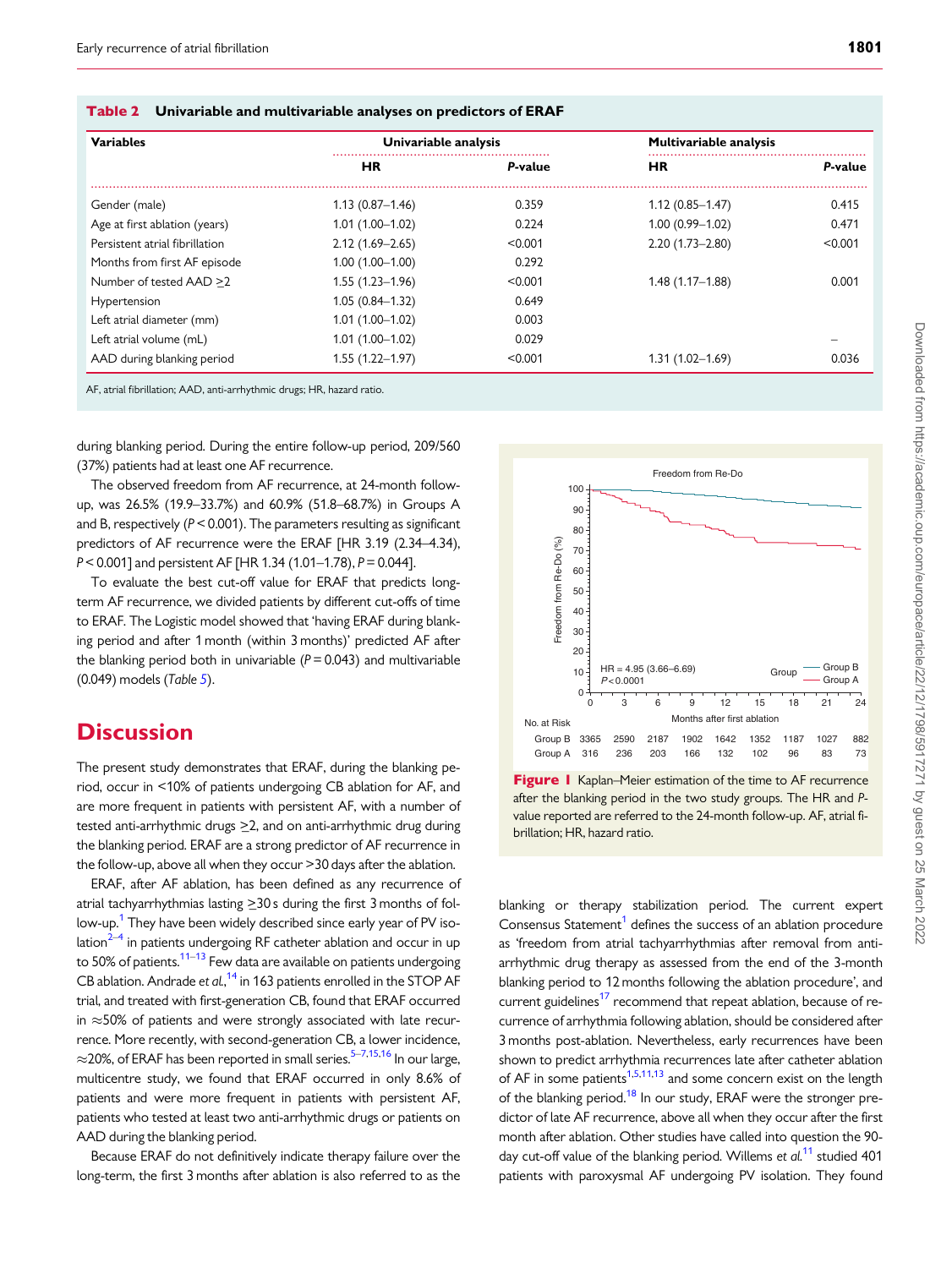| <b>Variables</b>               | Univariable analysis |         | Multivariable analysis |         |
|--------------------------------|----------------------|---------|------------------------|---------|
|                                | <b>HR</b>            | P-value | HR                     | P-value |
| Gender (male)                  | $1.13(0.87 - 1.46)$  | 0.359   | $1.12(0.85 - 1.47)$    | 0.415   |
| Age at first ablation (years)  | $1.01(1.00 - 1.02)$  | 0.224   | $1.00(0.99 - 1.02)$    | 0.471   |
| Persistent atrial fibrillation | $2.12(1.69 - 2.65)$  | < 0.001 | $2.20(1.73 - 2.80)$    | < 0.001 |
| Months from first AF episode   | $1.00(1.00 - 1.00)$  | 0.292   |                        |         |
| Number of tested AAD >2        | $1.55(1.23 - 1.96)$  | < 0.001 | $1.48(1.17-1.88)$      | 0.001   |
| Hypertension                   | $1.05(0.84 - 1.32)$  | 0.649   |                        |         |
| Left atrial diameter (mm)      | $1.01(1.00 - 1.02)$  | 0.003   |                        |         |
| Left atrial volume (mL)        | $1.01(1.00 - 1.02)$  | 0.029   |                        |         |
| AAD during blanking period     | $1.55(1.22 - 1.97)$  | < 0.001 | $1.31(1.02 - 1.69)$    | 0.036   |

#### <span id="page-3-0"></span>Table 2 Univariable and multivariable analyses on predictors of ERAF

AF, atrial fibrillation; AAD, anti-arrhythmic drugs; HR, hazard ratio.

during blanking period. During the entire follow-up period, 209/560 (37%) patients had at least one AF recurrence.

The observed freedom from AF recurrence, at 24-month followup, was 26.5% (19.9–33.7%) and 60.9% (51.8–68.7%) in Groups A and B, respectively ( $P < 0.001$ ). The parameters resulting as significant predictors of AF recurrence were the ERAF [HR 3.19 (2.34–4.34), P< 0.001] and persistent AF [HR 1.34 (1.01–1.78), P= 0.044].

To evaluate the best cut-off value for ERAF that predicts longterm AF recurrence, we divided patients by different cut-offs of time to ERAF. The Logistic model showed that 'having ERAF during blanking period and after 1 month (within 3 months)' predicted AF after the blanking period both in univariable ( $P = 0.043$ ) and multivariable (0.049) models (Table [5](#page-5-0)).

### **Discussion**

The present study demonstrates that ERAF, during the blanking period, occur in <10% of patients undergoing CB ablation for AF, and are more frequent in patients with persistent AF, with a number of tested anti-arrhythmic drugs  $\geq$ 2, and on anti-arrhythmic drug during the blanking period. ERAF are a strong predictor of AF recurrence in the follow-up, above all when they occur >30 days after the ablation.

ERAF, after AF ablation, has been defined as any recurrence of atrial tachyarrhythmias lasting  $\geq$ 30 s during the first 3 months of follow-up.<sup>1</sup> They have been widely described since early year of PV iso- $\lambda$  lation<sup>2–4</sup> in patients undergoing RF catheter ablation and occur in up to 50% of patients.<sup>11–13</sup> Few data are available on patients undergoing CB ablation. Andrade et al.,<sup>[14](#page-6-0)</sup> in 163 patients enrolled in the STOP AF trial, and treated with first-generation CB, found that ERAF occurred in  $\approx$  50% of patients and were strongly associated with late recurrence. More recently, with second-generation CB, a lower incidence,  $\approx$ 20%, of ERAF has been reported in small series.<sup>5–7,15,16</sup> In our large, multicentre study, we found that ERAF occurred in only 8.6% of patients and were more frequent in patients with persistent AF, patients who tested at least two anti-arrhythmic drugs or patients on AAD during the blanking period.

Because ERAF do not definitively indicate therapy failure over the long-term, the first 3 months after ablation is also referred to as the



Figure I Kaplan–Meier estimation of the time to AF recurrence after the blanking period in the two study groups. The HR and Pvalue reported are referred to the 24-month follow-up. AF, atrial fibrillation; HR, hazard ratio.

blanking or therapy stabilization period. The current expert Consensus Statement $<sup>1</sup>$  defines the success of an ablation procedure</sup> as 'freedom from atrial tachyarrhythmias after removal from antiarrhythmic drug therapy as assessed from the end of the 3-month blanking period to 12 months following the ablation procedure', and current guidelines<sup>17</sup> recommend that repeat ablation, because of recurrence of arrhythmia following ablation, should be considered after 3 months post-ablation. Nevertheless, early recurrences have been shown to predict arrhythmia recurrences late after catheter ablation of AF in some patients<sup>1,[5,11,13](#page-6-0)</sup> and some concern exist on the length of the blanking period.<sup>[18](#page-6-0)</sup> In our study, ERAF were the stronger predictor of late AF recurrence, above all when they occur after the first month after ablation. Other studies have called into question the 90- day cut-off value of the blanking period. Willems et al.<sup>[11](#page-6-0)</sup> studied 401 patients with paroxysmal AF undergoing PV isolation. They found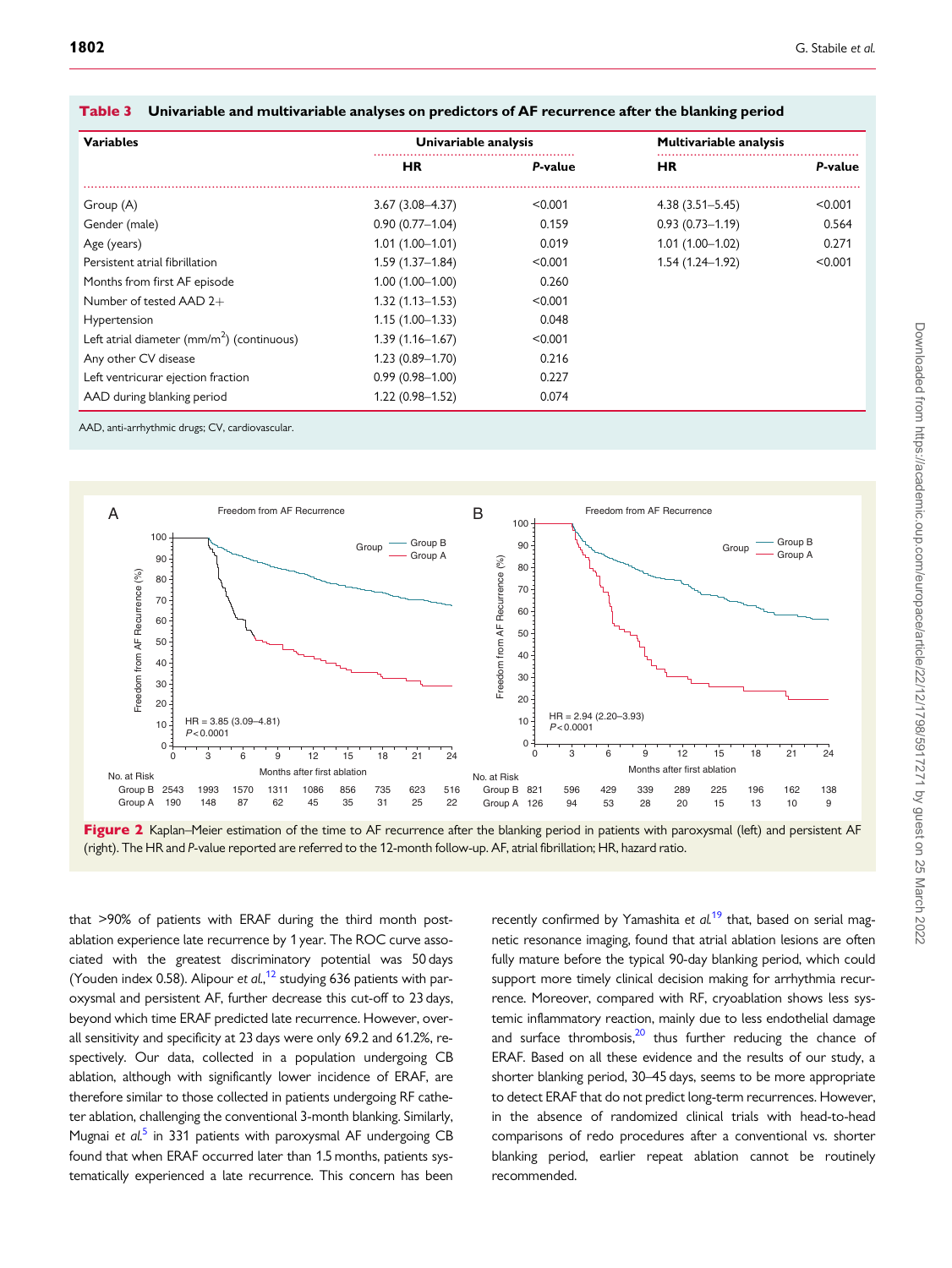<span id="page-4-0"></span>

|  | Table 3 Univariable and multivariable analyses on predictors of AF recurrence after the blanking period |  |  |  |  |  |
|--|---------------------------------------------------------------------------------------------------------|--|--|--|--|--|
|--|---------------------------------------------------------------------------------------------------------|--|--|--|--|--|

| <b>Variables</b>                            | Univariable analysis |         | Multivariable analysis |         |
|---------------------------------------------|----------------------|---------|------------------------|---------|
|                                             | HR                   | P-value | НR                     | P-value |
| Group (A)                                   | $3.67(3.08 - 4.37)$  | < 0.001 | $4.38(3.51 - 5.45)$    | < 0.001 |
| Gender (male)                               | $0.90(0.77 - 1.04)$  | 0.159   | $0.93(0.73 - 1.19)$    | 0.564   |
| Age (years)                                 | $1.01(1.00 - 1.01)$  | 0.019   | $1.01(1.00 - 1.02)$    | 0.271   |
| Persistent atrial fibrillation              | $1.59(1.37 - 1.84)$  | < 0.001 | $1.54(1.24 - 1.92)$    | < 0.001 |
| Months from first AF episode                | $1.00(1.00 - 1.00)$  | 0.260   |                        |         |
| Number of tested AAD 2+                     | $1.32(1.13 - 1.53)$  | < 0.001 |                        |         |
| Hypertension                                | $1.15(1.00-1.33)$    | 0.048   |                        |         |
| Left atrial diameter $(mm/m2)$ (continuous) | $1.39(1.16 - 1.67)$  | < 0.001 |                        |         |
| Any other CV disease                        | $1.23(0.89 - 1.70)$  | 0.216   |                        |         |
| Left ventricurar ejection fraction          | $0.99(0.98 - 1.00)$  | 0.227   |                        |         |
| AAD during blanking period                  | $1.22(0.98 - 1.52)$  | 0.074   |                        |         |

AAD, anti-arrhythmic drugs; CV, cardiovascular.





that >90% of patients with ERAF during the third month postablation experience late recurrence by 1 year. The ROC curve associated with the greatest discriminatory potential was 50 days (Youden index 0.58). Alipour et  $al$ ,  $12$  studying 636 patients with paroxysmal and persistent AF, further decrease this cut-off to 23 days, beyond which time ERAF predicted late recurrence. However, overall sensitivity and specificity at 23 days were only 69.2 and 61.2%, respectively. Our data, collected in a population undergoing CB ablation, although with significantly lower incidence of ERAF, are therefore similar to those collected in patients undergoing RF catheter ablation, challenging the conventional 3-month blanking. Similarly, Mugnai et  $al^5$  $al^5$  in 331 patients with paroxysmal AF undergoing CB found that when ERAF occurred later than 1.5 months, patients systematically experienced a late recurrence. This concern has been recently confirmed by Yamashita et  $al^{19}$  $al^{19}$  $al^{19}$  that, based on serial magnetic resonance imaging, found that atrial ablation lesions are often fully mature before the typical 90-day blanking period, which could support more timely clinical decision making for arrhythmia recurrence. Moreover, compared with RF, cryoablation shows less systemic inflammatory reaction, mainly due to less endothelial damage and surface thrombosis, $20$  thus further reducing the chance of ERAF. Based on all these evidence and the results of our study, a shorter blanking period, 30–45 days, seems to be more appropriate to detect ERAF that do not predict long-term recurrences. However, in the absence of randomized clinical trials with head-to-head comparisons of redo procedures after a conventional vs. shorter blanking period, earlier repeat ablation cannot be routinely recommended.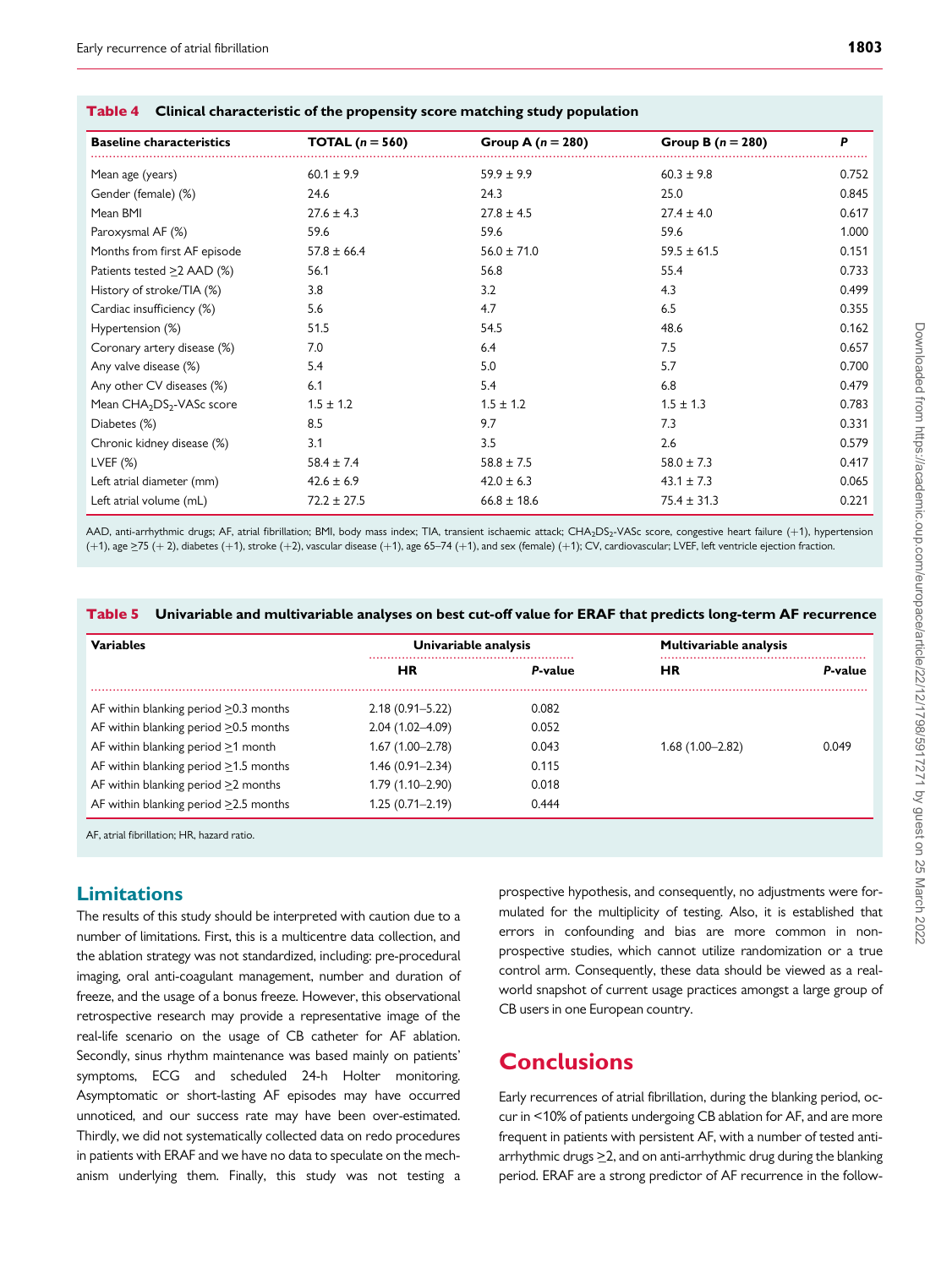| <b>Baseline characteristics</b>                   | TOTAL $(n = 560)$ | Group A $(n = 280)$ | Group B $(n = 280)$ | P     |
|---------------------------------------------------|-------------------|---------------------|---------------------|-------|
| Mean age (years)                                  | $60.1 \pm 9.9$    | $59.9 \pm 9.9$      | $60.3 \pm 9.8$      | 0.752 |
| Gender (female) (%)                               | 24.6              | 24.3                | 25.0                | 0.845 |
| Mean BMI                                          | $27.6 \pm 4.3$    | $27.8 \pm 4.5$      | $27.4 \pm 4.0$      | 0.617 |
| Paroxysmal AF (%)                                 | 59.6              | 59.6                | 59.6                | 1.000 |
| Months from first AF episode                      | $57.8 \pm 66.4$   | $56.0 \pm 71.0$     | $59.5 \pm 61.5$     | 0.151 |
| Patients tested $\geq$ AAD (%)                    | 56.1              | 56.8                | 55.4                | 0.733 |
| History of stroke/TIA (%)                         | 3.8               | 3.2                 | 4.3                 | 0.499 |
| Cardiac insufficiency (%)                         | 5.6               | 4.7                 | 6.5                 | 0.355 |
| Hypertension (%)                                  | 51.5              | 54.5                | 48.6                | 0.162 |
| Coronary artery disease (%)                       | 7.0               | 6.4                 | 7.5                 | 0.657 |
| Any valve disease (%)                             | 5.4               | 5.0                 | 5.7                 | 0.700 |
| Any other CV diseases (%)                         | 6.1               | 5.4                 | 6.8                 | 0.479 |
| Mean CHA <sub>2</sub> DS <sub>2</sub> -VASc score | $1.5 \pm 1.2$     | $1.5 \pm 1.2$       | $1.5 \pm 1.3$       | 0.783 |
| Diabetes (%)                                      | 8.5               | 9.7                 | 7.3                 | 0.331 |
| Chronic kidney disease (%)                        | 3.1               | 3.5                 | 2.6                 | 0.579 |
| LVEF $(% )$                                       | $58.4 \pm 7.4$    | $58.8 \pm 7.5$      | $58.0 \pm 7.3$      | 0.417 |
| Left atrial diameter (mm)                         | $42.6 \pm 6.9$    | $42.0 \pm 6.3$      | $43.1 \pm 7.3$      | 0.065 |
| Left atrial volume (mL)                           | $72.2 \pm 27.5$   | $66.8 \pm 18.6$     | $75.4 \pm 31.3$     | 0.221 |

#### <span id="page-5-0"></span>Table 4 Clinical characteristic of the propensity score matching study population

AAD, anti-arrhythmic drugs; AF, atrial fibrillation; BMI, body mass index; TIA, transient ischaemic attack; CHA<sub>2</sub>DS<sub>2</sub>-VASc score, congestive heart failure (+1), hypertension  $(+)$ , age  $\geq$ 75  $(+)$ , diabetes  $(+)$ , stroke  $(+)$ , vascular disease  $(+)$ , age 65–74  $(+)$ , and sex (female)  $(+)$ ; CV, cardiovascular; LVEF, left ventricle ejection fraction.

| <b>Variables</b>                            | Univariable analysis |         | Multivariable analysis |         |
|---------------------------------------------|----------------------|---------|------------------------|---------|
|                                             | HR                   | P-value | НR                     | P-value |
|                                             |                      |         |                        |         |
| AF within blanking period $\geq$ 0.3 months | $2.18(0.91 - 5.22)$  | 0.082   |                        |         |
| AF within blanking period $\geq$ 0.5 months | $2.04(1.02 - 4.09)$  | 0.052   |                        |         |
| AF within blanking period $\geq$ 1 month    | $1.67(1.00 - 2.78)$  | 0.043   | $1.68(1.00 - 2.82)$    | 0.049   |
| AF within blanking period $\geq$ 1.5 months | $1.46(0.91 - 2.34)$  | 0.115   |                        |         |
| AF within blanking period $\geq$ 2 months   | 1.79 (1.10-2.90)     | 0.018   |                        |         |
| AF within blanking period $\geq$ 2.5 months | $1.25(0.71 - 2.19)$  | 0.444   |                        |         |

AF, atrial fibrillation; HR, hazard ratio.

### Limitations

The results of this study should be interpreted with caution due to a number of limitations. First, this is a multicentre data collection, and the ablation strategy was not standardized, including: pre-procedural imaging, oral anti-coagulant management, number and duration of freeze, and the usage of a bonus freeze. However, this observational retrospective research may provide a representative image of the real-life scenario on the usage of CB catheter for AF ablation. Secondly, sinus rhythm maintenance was based mainly on patients' symptoms, ECG and scheduled 24-h Holter monitoring. Asymptomatic or short-lasting AF episodes may have occurred unnoticed, and our success rate may have been over-estimated. Thirdly, we did not systematically collected data on redo procedures in patients with ERAF and we have no data to speculate on the mechanism underlying them. Finally, this study was not testing a prospective hypothesis, and consequently, no adjustments were formulated for the multiplicity of testing. Also, it is established that errors in confounding and bias are more common in nonprospective studies, which cannot utilize randomization or a true control arm. Consequently, these data should be viewed as a realworld snapshot of current usage practices amongst a large group of CB users in one European country.

### **Conclusions**

Early recurrences of atrial fibrillation, during the blanking period, occur in <10% of patients undergoing CB ablation for AF, and are more frequent in patients with persistent AF, with a number of tested antiarrhythmic drugs  $\geq$ 2, and on anti-arrhythmic drug during the blanking period. ERAF are a strong predictor of AF recurrence in the follow